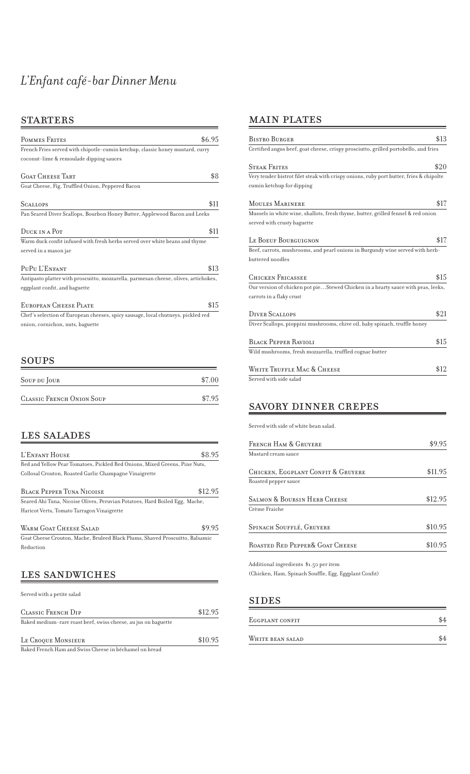# *L'Enfant café-bar Dinner Menu*

#### STARTERS

| POMMES FRITES                                                                       | \$6.95 |
|-------------------------------------------------------------------------------------|--------|
| French Fries served with chipotle-cumin ketchup, classic honey mustard, curry       |        |
| coconut-lime & remoulade dipping sauces                                             |        |
| GOAT CHEESE TABT                                                                    | \$8    |
| Goat Cheese, Fig, Truffled Onion, Peppered Bacon                                    |        |
| <b>SCALLOPS</b>                                                                     | \$11   |
| Pan Seared Diver Scallops, Bourbon Honey Butter, Applewood Bacon and Leeks          |        |
| DUCK IN A POT                                                                       | \$11   |
| Warm duck confit infused with fresh herbs served over white beans and thyme         |        |
| served in a mason jar                                                               |        |
| PUPU L'ENFANT                                                                       | \$13   |
| Antipasto platter with proscuitto, mozzarella, parmesan cheese, olives, artichokes, |        |
| eggplant confit, and baguette                                                       |        |
| EUROPEAN CHEESE PLATE                                                               | \$15   |
| Chef's selection of European cheeses, spicy sausage, local chutneys, pickled red    |        |
| onion, cornichon, nuts, baguette                                                    |        |
|                                                                                     |        |

#### SOUPS

| SOUP DU JOUR                     | \$7.00 |
|----------------------------------|--------|
| <b>CLASSIC FRENCH ONION SOUP</b> | \$7.95 |

### LES SALADES

| L'ENFANT HOUSE                                                               | \$8.95  |
|------------------------------------------------------------------------------|---------|
| Red and Yellow Pear Tomatoes, Pickled Red Onions, Mixed Greens, Pine Nuts,   |         |
| Collosal Crouton, Roasted Garlic Champagne Vinaigrette                       |         |
| <b>BLACK PEPPER TIINA NICOLSE</b>                                            | \$12.95 |
| Seared Ahi Tuna, Nicoise Olives, Peruvian Potatoes, Hard Boiled Egg, Mache,  |         |
| Haricot Verts, Tomato Tarragon Vinaigrette                                   |         |
| WARM GOAT CHEESE SALAD                                                       | \$9.95  |
| Goat Cheese Crouton, Mache, Bruleed Black Plums, Shaved Proscuitto, Balsamic |         |
| Reduction                                                                    |         |
| LES SANDWICHES                                                               |         |
| Served with a petite salad                                                   |         |

| CLASSIC FRENCH DIP                                             | \$12.95 |
|----------------------------------------------------------------|---------|
| Baked medium-rare roast beef, swiss cheese, au jus on baguette |         |
| LE CROQUE MONSIEUR                                             | \$10.95 |
| Baked French Ham and Swiss Cheese in béchamel on bread         |         |

## MAIN PLATES

| Bistro Burger                                                                          | \$13 |
|----------------------------------------------------------------------------------------|------|
| Certified angus beef, goat cheese, crispy prosciutto, grilled portobello, and fries    |      |
| Steak Frites                                                                           | \$20 |
| Very tender bistrot filet steak with crispy onions, ruby port butter, fries & chipolte |      |
| cumin ketchup for dipping                                                              |      |
| MOULES MARINERE                                                                        | \$17 |
| Mussels in white wine, shallots, fresh thyme, butter, grilled fennel & red onion       |      |
| served with crusty baguette                                                            |      |
| Le Boeuf Bourguignon                                                                   | \$17 |
| Beef, carrots, mushrooms, and pearl onions in Burgundy wine served with herb-          |      |
| buttered noodles                                                                       |      |
| Chicken Fricassee                                                                      | \$15 |
| Our version of chicken pot pieStewed Chicken in a hearty sauce with peas, leeks,       |      |
| carrots in a flaky crust                                                               |      |
| <b>DIVER SCALLOPS</b>                                                                  | \$21 |
| Diver Scallops, pioppini mushrooms, chive oil, baby spinach, truffle honey             |      |
| Black Pepper Ravioli                                                                   | \$15 |
| Wild mushrooms, fresh mozzarella, truffled cognac butter                               |      |
| White Truffle Mac & Cheese                                                             | \$12 |
| Served with side salad                                                                 |      |
|                                                                                        |      |

# SAVORY DINNER CREPES

Served with side of white bean salad.

| \$995   |
|---------|
|         |
| \$11.95 |
|         |
| \$12.95 |
|         |
| \$10.95 |
| \$10.95 |
|         |

Additional ingredients \$1.50 per item

 $\left( \text{Chicken}, \text{Ham}, \text{Spinach} \, \text{South}, \text{Egg}, \text{Eggplant} \, \text{Confit} \right)$ 

#### SIDES

| Eggplant confit  |  |
|------------------|--|
| WHITE BEAN SALAD |  |